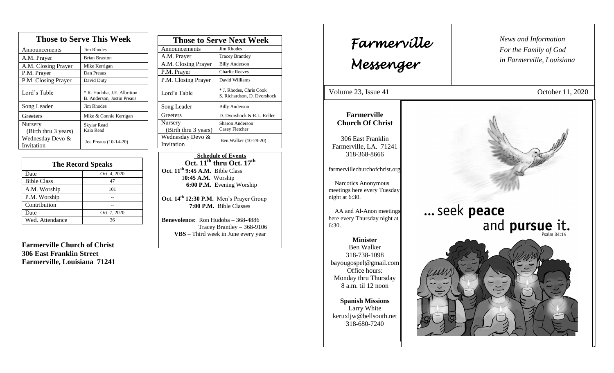| <b>Those to Serve This Week</b> |                                                           |  |
|---------------------------------|-----------------------------------------------------------|--|
| Announcements                   | Jim Rhodes                                                |  |
| A.M. Prayer                     | <b>Brian Braxton</b>                                      |  |
| A.M. Closing Prayer             | Mike Kerrigan                                             |  |
| P.M. Prayer                     | Dan Preaus                                                |  |
| P.M. Closing Prayer             | David Duty                                                |  |
| Lord's Table                    | * R. Hudoba, J.E. Albritton<br>B. Anderson, Justin Preaus |  |
| Song Leader                     | Jim Rhodes                                                |  |
| Greeters                        | Mike & Connie Kerrigan                                    |  |
| Nursery<br>(Birth thru 3 years) | Skylar Read<br>Kaia Read                                  |  |
| Wednesday Devo &<br>Invitation  | Joe Preaus (10-14-20)                                     |  |

| <b>The Record Speaks</b> |              |
|--------------------------|--------------|
| Date                     | Oct. 4, 2020 |
| <b>Bible Class</b>       | 47           |
| A.M. Worship             | 101          |
| P.M. Worship             |              |
| Contribution             |              |
| Date                     | Oct. 7, 2020 |
| Wed. Attendance          | 36           |

**Farmerville Church of Christ 306 East Franklin Street Farmerville, Louisiana 71241**

| <b>Those to Serve Next Week</b> |                                                        |
|---------------------------------|--------------------------------------------------------|
| Announcements                   | Jim Rhodes                                             |
| A.M. Prayer                     | <b>Tracey Brantley</b>                                 |
| A.M. Closing Prayer             | <b>Billy Anderson</b>                                  |
| P.M. Prayer                     | <b>Charlie Reeves</b>                                  |
| P.M. Closing Prayer             | David Williams                                         |
| Lord's Table                    | * J. Rhodes, Chris Cook<br>S. Richardson, D. Dvorshock |
| Song Leader                     | <b>Billy Anderson</b>                                  |
| Greeters                        | D. Dvorshock & R.L. Roller                             |
| Nursery<br>(Birth thru 3 years) | Sharon Anderson<br>Casey Fletcher                      |
| Wednesday Devo &<br>Invitation  | Ben Walker (10-28-20)                                  |

 **Schedule of Events Oct. 11th thru Oct. 17 th Oct. 11th 9:45 A.M.** Bible Class 1**0:45 A.M.** Worship  **6:00 P.M.** Evening Worship

**Oct. 14th 12:30 P.M.** Men's Prayer Group **7:00 P.M.** Bible Classes

**Benevolence:** Ron Hudoba – 368-4886 Tracey Brantley – 368-9106 **VBS** – Third week in June every year